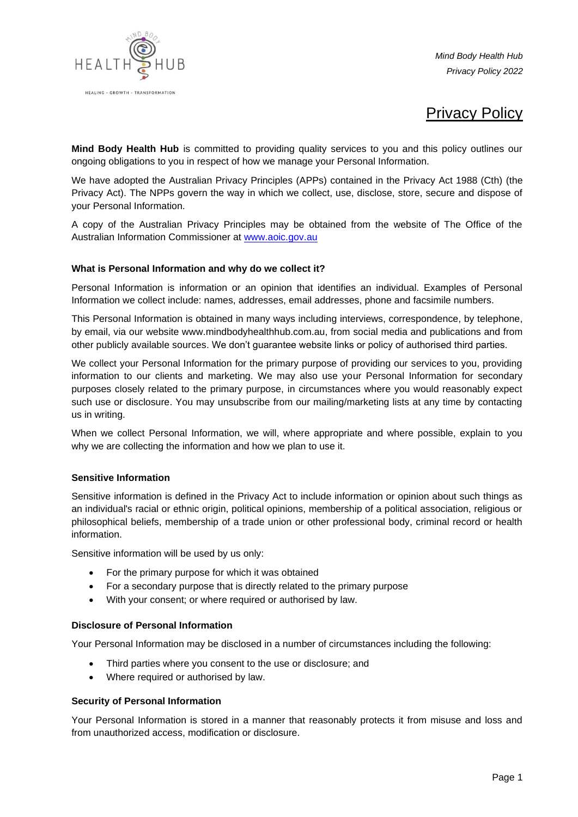

*Mind Body Health Hub Privacy Policy 2022*

# Privacy Policy

**Mind Body Health Hub** is committed to providing quality services to you and this policy outlines our ongoing obligations to you in respect of how we manage your Personal Information.

We have adopted the Australian Privacy Principles (APPs) contained in the Privacy Act 1988 (Cth) (the Privacy Act). The NPPs govern the way in which we collect, use, disclose, store, secure and dispose of your Personal Information.

A copy of the Australian Privacy Principles may be obtained from the website of The Office of the Australian Information Commissioner at [www.aoic.gov.au](http://www.aoic.gov.au/)

#### **What is Personal Information and why do we collect it?**

Personal Information is information or an opinion that identifies an individual. Examples of Personal Information we collect include: names, addresses, email addresses, phone and facsimile numbers.

This Personal Information is obtained in many ways including interviews, correspondence, by telephone, by email, via our website www.mindbodyhealthhub.com.au, from social media and publications and from other publicly available sources. We don't guarantee website links or policy of authorised third parties.

We collect your Personal Information for the primary purpose of providing our services to you, providing information to our clients and marketing. We may also use your Personal Information for secondary purposes closely related to the primary purpose, in circumstances where you would reasonably expect such use or disclosure. You may unsubscribe from our mailing/marketing lists at any time by contacting us in writing.

When we collect Personal Information, we will, where appropriate and where possible, explain to you why we are collecting the information and how we plan to use it.

#### **Sensitive Information**

Sensitive information is defined in the Privacy Act to include information or opinion about such things as an individual's racial or ethnic origin, political opinions, membership of a political association, religious or philosophical beliefs, membership of a trade union or other professional body, criminal record or health information.

Sensitive information will be used by us only:

- For the primary purpose for which it was obtained
- For a secondary purpose that is directly related to the primary purpose
- With your consent; or where required or authorised by law.

#### **Disclosure of Personal Information**

Your Personal Information may be disclosed in a number of circumstances including the following:

- Third parties where you consent to the use or disclosure; and
- Where required or authorised by law.

#### **Security of Personal Information**

Your Personal Information is stored in a manner that reasonably protects it from misuse and loss and from unauthorized access, modification or disclosure.